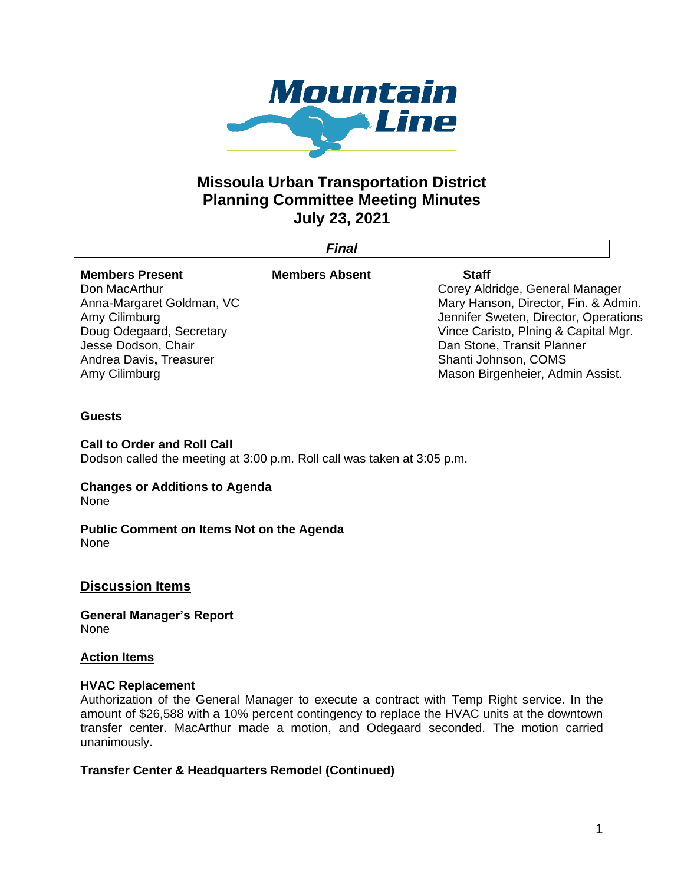

# **Missoula Urban Transportation District Planning Committee Meeting Minutes July 23, 2021**

|                           | Final                 |                                       |
|---------------------------|-----------------------|---------------------------------------|
| <b>Members Present</b>    | <b>Members Absent</b> | <b>Staff</b>                          |
| Don MacArthur             |                       | Corey Aldridge, General Manager       |
| Anna-Margaret Goldman, VC |                       | Mary Hanson, Director, Fin. & Admin.  |
| Amy Cilimburg             |                       | Jennifer Sweten, Director, Operations |
| Doug Odegaard, Secretary  |                       | Vince Caristo, Plning & Capital Mgr.  |
| Jesse Dodson, Chair       |                       | Dan Stone, Transit Planner            |
| Andrea Davis, Treasurer   |                       | Shanti Johnson, COMS                  |
| Amy Cilimburg             |                       | Mason Birgenheier, Admin Assist.      |
|                           |                       |                                       |
|                           |                       |                                       |

## **Guests**

### **Call to Order and Roll Call**

Dodson called the meeting at 3:00 p.m. Roll call was taken at 3:05 p.m.

## **Changes or Additions to Agenda**

None

#### **Public Comment on Items Not on the Agenda** None

## **Discussion Items**

**General Manager's Report**  None

#### **Action Items**

#### **HVAC Replacement**

Authorization of the General Manager to execute a contract with Temp Right service. In the amount of \$26,588 with a 10% percent contingency to replace the HVAC units at the downtown transfer center. MacArthur made a motion, and Odegaard seconded. The motion carried unanimously.

## **Transfer Center & Headquarters Remodel (Continued)**